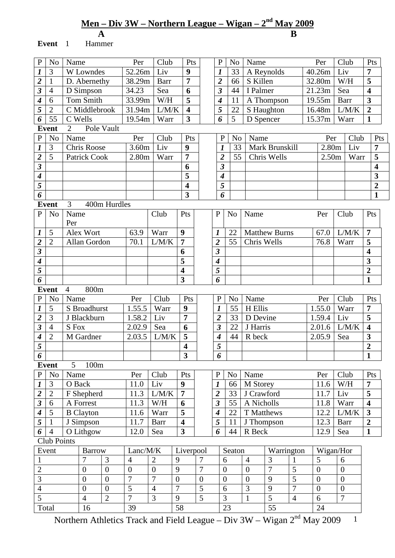# **Men – Div 3W – Northern League – Wigan – 2nd May 2009**

 **A B Event** 1 Hammer

| ${\bf P}$                              | N <sub>0</sub> | Name                                 | Per               | Club               | Pts                     |                | $\mathbf{P}$                | N <sub>0</sub> | Name             |                      |                |  | Per               | Club             |       | Pts                     |
|----------------------------------------|----------------|--------------------------------------|-------------------|--------------------|-------------------------|----------------|-----------------------------|----------------|------------------|----------------------|----------------|--|-------------------|------------------|-------|-------------------------|
| $\boldsymbol{l}$                       | 3              | W Lowndes                            | 52.26m            | Liv                | 9                       |                | $\boldsymbol{l}$            | 33             |                  | A Reynolds           |                |  | 40.26m            | Liv              |       | $\overline{7}$          |
| $\overline{\mathbf{c}}$                | 1              | D. Abernethy                         | 38.29m            | Barr               | $\overline{7}$          |                | $\overline{2}$              | 66             | S Killen         |                      |                |  | 32.80m            | W/H              |       | 5                       |
| $\overline{\mathbf{3}}$                | $\overline{4}$ | D Simpson                            | 34.23             | Sea                | 6                       |                | $\overline{\mathbf{3}}$     | 44             | I Palmer         |                      |                |  | 21.23m            | Sea              |       | $\overline{\mathbf{4}}$ |
| $\boldsymbol{4}$                       | 6              | Tom Smith                            | 33.99m            | W/H                | 5                       |                | 4                           | 11             |                  | A Thompson           |                |  | 19.55m            | Barr             |       | $\overline{\mathbf{3}}$ |
| 5                                      | $\overline{2}$ | C Middlebrook                        | 31.94m            | $\overline{L}/M/K$ | $\overline{\mathbf{4}}$ |                | 5                           | 22             |                  | S Haughton           |                |  | 16.48m            |                  | L/M/K | $\boldsymbol{2}$        |
| 6                                      | 55             | C Wells                              | 19.54m            | Warr               | $\overline{\mathbf{3}}$ |                | 6                           | $\overline{5}$ | D Spencer        |                      |                |  | 15.37m            |                  | Warr  | $\mathbf{1}$            |
|                                        | <b>Event</b>   | Pole Vault<br>$\overline{2}$         |                   |                    |                         |                |                             |                |                  |                      |                |  |                   |                  |       |                         |
| ${\bf P}$                              | N <sub>o</sub> | Name                                 | Per               | Club               | Pts                     |                | $\mathbf P$                 | No             | Name             |                      |                |  | Per               |                  | Club  | Pts                     |
| $\boldsymbol{l}$                       | 3              | <b>Chris Roose</b>                   | 3.60m             | Liv                | 9                       |                | $\boldsymbol{l}$            | 33             |                  | Mark Brunskill       |                |  | 2.80 <sub>m</sub> |                  | Liv   | 7                       |
| $\overline{2}$                         | 5              | Patrick Cook                         | 2.80 <sub>m</sub> | Warr               | 7                       |                | $\overline{2}$              | 55             |                  | Chris Wells          |                |  | 2.50m             |                  | Warr  | $\overline{\mathbf{5}}$ |
| $\overline{\mathbf{3}}$                |                |                                      |                   |                    | 6                       |                | $\boldsymbol{\beta}$        |                |                  |                      |                |  |                   |                  |       | $\overline{\mathbf{4}}$ |
| $\overline{\boldsymbol{4}}$            |                |                                      |                   |                    | 5                       |                | $\overline{\bf{4}}$         |                |                  |                      |                |  |                   |                  |       | $\overline{\mathbf{3}}$ |
| 5                                      |                |                                      |                   |                    | $\overline{\mathbf{4}}$ |                | 5                           |                |                  |                      |                |  |                   |                  |       | $\overline{2}$          |
| 6                                      |                |                                      |                   |                    | $\overline{\mathbf{3}}$ |                | 6                           |                |                  |                      |                |  |                   |                  |       | $\mathbf{1}$            |
|                                        | <b>Event</b>   | 400m Hurdles<br>3                    |                   |                    |                         |                |                             |                |                  |                      |                |  |                   |                  |       |                         |
| $\mathbf P$                            | N <sub>o</sub> | Name                                 |                   | Club               | Pts                     |                | $\mathbf P$                 | N <sub>o</sub> | Name             |                      |                |  | Per               | Club             |       | Pts                     |
|                                        |                | Per                                  |                   |                    |                         |                |                             |                |                  |                      |                |  |                   |                  |       |                         |
| $\boldsymbol{l}$                       | 5              | Alex Wort                            | 63.9              | Warr               | 9                       |                | $\boldsymbol{l}$            | 22             |                  | <b>Matthew Burns</b> |                |  | 67.0              |                  | L/M/K | $\overline{7}$          |
| $\overline{\mathbf{c}}$                | $\overline{2}$ | Allan Gordon                         | 70.1              | L/M/K              | $\overline{7}$          |                | $\overline{\mathbf{2}}$     | 55             | Chris Wells      |                      |                |  | 76.8              | Warr             |       | 5                       |
| $\overline{\mathbf{3}}$                |                |                                      |                   |                    | 6                       |                | $\overline{\mathbf{3}}$     |                |                  |                      |                |  |                   |                  |       | $\overline{\mathbf{4}}$ |
| $\boldsymbol{4}$                       |                |                                      |                   |                    | 5                       |                | $\overline{\boldsymbol{4}}$ |                |                  |                      |                |  |                   |                  |       | 3                       |
| $\overline{5}$                         |                |                                      |                   |                    | $\overline{\mathbf{4}}$ |                | 5                           |                |                  |                      |                |  |                   |                  |       | $\overline{2}$          |
| 6                                      |                |                                      |                   |                    | 3                       |                | 6                           |                |                  |                      |                |  |                   |                  |       | $\mathbf{1}$            |
| 800m<br>$\overline{4}$<br><b>Event</b> |                |                                      |                   |                    |                         |                |                             |                |                  |                      |                |  |                   |                  |       |                         |
| ${\bf P}$                              | N <sub>o</sub> | Name                                 | Per               | Club               | Pts                     |                | $\mathbf{P}$                | N <sub>0</sub> | Name             |                      |                |  | Per               | Club             |       | Pts                     |
| $\boldsymbol{l}$                       | 5              | S Broadhurst                         | 1.55.5            | Warr               | 9                       |                | $\boldsymbol{l}$            | 55             | H Ellis          |                      |                |  | 1.55.0            |                  | Warr  | $\overline{7}$          |
| $\overline{\mathbf{c}}$                | 3              | J Blackburn                          | 1.58.2            | Liv                | $\overline{7}$          |                | $\overline{\mathbf{2}}$     | 33             | D Devine         |                      |                |  | 1.59.4            | Liv              |       |                         |
| $\overline{\mathbf{3}}$                | 4              | S Fox                                | 2.02.9            | Sea                | 6                       |                | 3                           | 22             | J Harris         |                      |                |  | 2.01.6            |                  | L/M/K | $\overline{\mathbf{4}}$ |
| $\boldsymbol{4}$                       | $\overline{2}$ | M Gardner                            | 2.03.5            | L/M/K              | $\overline{\mathbf{5}}$ |                | $\overline{\boldsymbol{4}}$ | 44             | R beck           |                      |                |  | 2.05.9            | Sea              |       | 3                       |
| 5                                      |                |                                      |                   |                    | $\overline{\mathbf{4}}$ |                | 5                           |                |                  |                      |                |  |                   |                  |       | $\overline{2}$          |
| 6                                      |                |                                      |                   |                    | $\mathbf{3}$            |                | 6                           |                |                  |                      |                |  |                   |                  |       | $\mathbf{1}$            |
|                                        | <b>Event</b>   | 5 <sup>5</sup><br>100m               |                   |                    |                         |                |                             |                |                  |                      |                |  |                   |                  |       |                         |
| ${\bf P}$                              | $\rm No$       | Name                                 | Per               | Club               | Pts                     |                | $\mathbf P$                 | No             | Name             |                      |                |  | Per               | Club             |       | Pts                     |
| $\boldsymbol{l}$                       | $\mathfrak{Z}$ | O Back                               | 11.0              | Liv                | $\boldsymbol{9}$        |                | $\boldsymbol{l}$            | 66             | M Storey         |                      |                |  | 11.6              | W/H              |       | $\overline{7}$          |
| $\overline{\mathbf{c}}$                | $\overline{2}$ | F Shepherd                           | 11.3              | L/M/K              | $\overline{7}$          |                | $\overline{2}$              | 33             | J Crawford       |                      |                |  | 11.7              | Liv              |       | $\overline{\mathbf{5}}$ |
| $\overline{\mathbf{3}}$                | 6              | A Forrest                            | 11.3              | W/H                | 6                       |                | $\boldsymbol{\beta}$        | 55             | A Nicholls       |                      |                |  | 11.8              |                  | Warr  | $\overline{\mathbf{4}}$ |
| $\boldsymbol{4}$                       | 5              | <b>B</b> Clayton                     | 11.6              | Warr               | 5                       |                | $\boldsymbol{4}$            | 22             | T Matthews       |                      |                |  | 12.2              |                  | L/M/K | $\overline{\mathbf{3}}$ |
| 5                                      | $\mathbf{1}$   | J Simpson                            | 11.7              | <b>Barr</b>        | $\overline{\mathbf{4}}$ |                | 5                           | 11             | J Thompson       |                      |                |  | 12.3              | Barr             |       | $\overline{2}$          |
| 6                                      | $\overline{4}$ | O Lithgow                            | 12.0              | Sea                | $\overline{\mathbf{3}}$ |                | 6                           | 44             | R Beck           |                      |                |  | 12.9              | Sea              |       | $\mathbf{1}$            |
|                                        | Club Points    |                                      |                   |                    |                         |                |                             |                |                  |                      |                |  |                   |                  |       |                         |
|                                        | Event          | <b>Barrow</b>                        | Lanc/M/K          |                    | Liverpool               |                |                             | Seaton         |                  | Warrington           |                |  | Wigan/Hor         |                  |       |                         |
| $\mathbf{1}$                           |                | 7<br>3                               | $\overline{4}$    | $\overline{2}$     | 9                       | $\overline{7}$ | 6                           |                | $\overline{4}$   | 3                    | $\mathbf{1}$   |  | 5                 | 6                |       |                         |
| $\overline{c}$                         |                | $\boldsymbol{0}$<br>$\boldsymbol{0}$ | $\boldsymbol{0}$  | $\boldsymbol{0}$   | 9                       | $\overline{7}$ | $\boldsymbol{0}$            |                | $\boldsymbol{0}$ | $\overline{7}$       | 5              |  | $\boldsymbol{0}$  | $\boldsymbol{0}$ |       |                         |
| $\overline{3}$                         |                | $\overline{0}$<br>$\overline{0}$     | $\overline{7}$    | $\overline{7}$     | $\overline{0}$          | $\overline{0}$ | $\overline{0}$              |                | $\overline{0}$   | 9                    | 5              |  | $\overline{0}$    | $\overline{0}$   |       |                         |
| $\overline{4}$                         |                | $\boldsymbol{0}$<br>$\boldsymbol{0}$ | 5                 | $\overline{4}$     | $\overline{7}$          | 5              | 6                           |                | 3                | 9                    | $\overline{7}$ |  | $\boldsymbol{0}$  | $\boldsymbol{0}$ |       |                         |
| $\overline{5}$                         |                | $\overline{2}$<br>$\overline{4}$     | $\overline{7}$    | $\overline{3}$     | 9                       | $\overline{5}$ | 3                           |                | $\mathbf{1}$     | $\overline{5}$       | $\overline{4}$ |  | 6                 | $\overline{7}$   |       |                         |
| Total<br>16                            |                |                                      | 39                |                    | 58                      |                |                             | 23             |                  | 55                   |                |  | 24                |                  |       |                         |
|                                        |                |                                      |                   |                    |                         |                |                             |                |                  |                      |                |  |                   |                  |       |                         |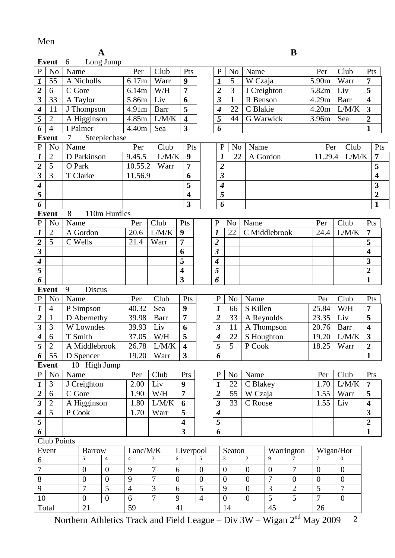### Men

| I<br>۰.<br>v |  |
|--------------|--|
|              |  |

|                             | B<br>$\mathbf A$    |          |                        |                   |                            |                                                      |                                                    |                         |                  |                             |                |  |                             |                                    |                                  |                     |                                |                         |
|-----------------------------|---------------------|----------|------------------------|-------------------|----------------------------|------------------------------------------------------|----------------------------------------------------|-------------------------|------------------|-----------------------------|----------------|--|-----------------------------|------------------------------------|----------------------------------|---------------------|--------------------------------|-------------------------|
|                             | Event               | 6        |                        | Long Jump         |                            |                                                      |                                                    |                         |                  |                             |                |  |                             |                                    |                                  |                     |                                |                         |
| $\, {\bf P}$                | N <sub>o</sub>      | Name     |                        |                   | Per                        | Club                                                 |                                                    | Pts                     |                  | $\mathbf P$                 | N <sub>o</sub> |  | Name                        |                                    |                                  | Per                 | Club                           | Pts                     |
| $\overline{\mathbf{I}}$     | 55                  |          | A Nicholls             |                   | 6.17m                      | Warr                                                 |                                                    | 9                       |                  | 1                           | 5              |  | W Czaja                     |                                    |                                  | 5.90m               | Warr                           | 7                       |
| $\overline{2}$              | 6                   | C Gore   |                        |                   | 6.14m                      | W/H                                                  |                                                    | 7                       |                  | $\overline{2}$              | 3              |  | J Creighton                 |                                    |                                  | 5.82m               | Liv                            | 5                       |
| $\overline{\mathbf{3}}$     | 33                  | A Taylor |                        |                   | 5.86m                      | Liv                                                  |                                                    | 6                       |                  | $\overline{\mathbf{3}}$     | $\mathbf{1}$   |  | R Benson                    |                                    |                                  | 4.29m               | Barr                           | $\overline{\mathbf{4}}$ |
| $\overline{\boldsymbol{4}}$ | 11                  |          | J Thompson             |                   | 4.91m                      | Barr                                                 |                                                    | 5                       |                  | $\boldsymbol{4}$            | 22             |  | C Blakie                    |                                    |                                  | 4.20m               | L/M/K                          | $\overline{\mathbf{3}}$ |
| $\overline{5}$              | $\overline{2}$      |          | A Higginson            |                   | 4.85m                      | L/M/K                                                |                                                    | $\overline{\mathbf{4}}$ |                  | 5                           | 44             |  | G Warwick                   |                                    |                                  | 3.96m               | Sea                            | $\overline{2}$          |
| $\overline{6}$              | $\overline{4}$      | I Palmer |                        |                   | 4.40m                      | Sea                                                  |                                                    | $\overline{\mathbf{3}}$ |                  | 6                           |                |  |                             |                                    |                                  |                     |                                | $\mathbf{1}$            |
|                             | <b>Event</b>        | $\tau$   |                        | Steeplechase      |                            |                                                      |                                                    |                         |                  |                             |                |  |                             |                                    |                                  |                     |                                |                         |
| ${\bf P}$                   | N <sub>o</sub>      | Name     |                        |                   | Per                        | Club                                                 |                                                    | Pts                     |                  | $\mathbf{P}$                | N <sub>o</sub> |  | Name                        |                                    |                                  | Per                 | Club                           | Pts                     |
| $\overline{\mathbf{I}}$     | $\overline{2}$      |          | D Parkinson            |                   | 9.45.5                     | L/M/K                                                |                                                    | 9                       |                  | 1                           | 22             |  | A Gordon                    |                                    |                                  | 11.29.4             | L/M/K                          | $\overline{7}$          |
| $\overline{2}$              | 5                   | O Park   |                        |                   | 10.55.2                    | Warr                                                 |                                                    | 7                       |                  | $\overline{\mathbf{2}}$     |                |  |                             |                                    |                                  |                     |                                | 5                       |
| $\overline{\mathbf{3}}$     | 3                   | T Clarke |                        |                   | 11.56.9                    |                                                      |                                                    | 6                       |                  | $\overline{\mathbf{3}}$     |                |  |                             |                                    |                                  |                     |                                | $\overline{\mathbf{4}}$ |
| $\overline{\boldsymbol{4}}$ |                     |          |                        |                   |                            |                                                      |                                                    | 5                       |                  | $\overline{\boldsymbol{4}}$ |                |  |                             |                                    |                                  |                     |                                | 3                       |
| $\overline{5}$              |                     |          |                        |                   |                            |                                                      |                                                    | $\overline{\mathbf{4}}$ |                  | 5                           |                |  |                             |                                    |                                  |                     |                                | $\overline{2}$          |
| $\overline{6}$              |                     |          |                        |                   |                            |                                                      |                                                    | $\overline{\mathbf{3}}$ |                  | 6                           |                |  |                             |                                    |                                  |                     |                                | $\mathbf{1}$            |
|                             | Event               | 8        |                        | 110m Hurdles      |                            |                                                      |                                                    |                         |                  |                             |                |  |                             |                                    |                                  |                     |                                |                         |
| $\, {\bf P}$                | N <sub>o</sub>      | Name     |                        |                   | Per                        | Club                                                 |                                                    | Pts                     |                  | $\mathbf{P}$                | N <sub>o</sub> |  | Name                        |                                    |                                  | Per                 | Club                           | Pts                     |
| $\boldsymbol{l}$            | $\overline{2}$      |          | A Gordon               |                   | 20.6                       | L/M/K                                                | 9                                                  |                         |                  | $\boldsymbol{l}$            | 22             |  |                             | C Middlebrook                      |                                  | 24.4                | L/M/K                          | $\overline{7}$          |
| $\overline{2}$              | 5                   | C Wells  |                        |                   | 21.4                       | Warr                                                 | 7                                                  |                         |                  | $\overline{2}$              |                |  |                             |                                    |                                  |                     |                                | 5                       |
| $\frac{3}{4}$               |                     |          |                        |                   |                            |                                                      | 6                                                  |                         |                  | 3                           |                |  |                             |                                    |                                  |                     |                                | $\overline{\mathbf{4}}$ |
|                             |                     |          |                        |                   |                            |                                                      | 5                                                  |                         |                  | 4                           |                |  |                             |                                    |                                  |                     |                                | 3                       |
| $\overline{5}$              |                     |          |                        |                   |                            |                                                      | $\overline{\mathbf{4}}$                            |                         |                  | 5                           |                |  |                             |                                    |                                  | $\overline{2}$      |                                |                         |
| $\overline{6}$              |                     |          |                        |                   |                            |                                                      | $\overline{\mathbf{3}}$                            |                         |                  | 6                           |                |  |                             |                                    |                                  |                     |                                | $\mathbf{1}$            |
|                             | <b>Event</b>        | 9        | Discus                 |                   |                            |                                                      |                                                    |                         |                  |                             |                |  |                             |                                    |                                  |                     |                                |                         |
| $\, {\bf P}$                | N <sub>o</sub>      | Name     |                        |                   | Per                        | Club                                                 |                                                    | Pts                     |                  | $\mathbf{P}$                | N <sub>o</sub> |  | Name                        |                                    |                                  | Per                 | Club                           | Pts                     |
| $\boldsymbol{l}$            | $\overline{4}$      |          | P Simpson              |                   | 40.32                      | Sea                                                  |                                                    | 9                       |                  | $\boldsymbol{l}$            | 66             |  | S Killen                    |                                    |                                  | 25.84               | W/H                            | 7                       |
| $\frac{2}{3}$               | $\mathbf{1}$        |          | D Abernethy            |                   | 39.98                      | <b>Barr</b>                                          |                                                    | 7                       |                  | $\overline{2}$              | 33             |  | A Reynolds                  |                                    |                                  | 23.35               | Liv                            | 5                       |
|                             | 3                   |          | W Lowndes              |                   | 39.93                      | Liv                                                  |                                                    | 6                       |                  | $\overline{\mathbf{3}}$     | 11             |  |                             | A Thompson                         |                                  | 20.76               | Barr                           | $\overline{\mathbf{4}}$ |
| $\boldsymbol{4}$            | 6                   | T Smith  |                        |                   | 37.05                      | W/H                                                  |                                                    | 5                       |                  | $\boldsymbol{4}$            | 22             |  | S Houghton                  |                                    |                                  | 19.20               | L/M/K                          | $\overline{\mathbf{3}}$ |
| $\overline{5}$              | $\overline{2}$      |          | A Middlebrook          |                   | 26.78                      | $L/M/K$                                              |                                                    | $\overline{\mathbf{4}}$ |                  | $\overline{5}$              | $\overline{5}$ |  | $\overline{P} \text{ Cook}$ |                                    |                                  | 18.25   Warr        |                                | $\overline{\mathbf{c}}$ |
| 6                           | 55                  |          | D Spencer              |                   | 19.20                      | Warr                                                 |                                                    | $\overline{\mathbf{3}}$ |                  | 6                           |                |  |                             |                                    |                                  |                     |                                | $\mathbf{1}$            |
|                             | <b>Event</b>        |          | 10 High Jump           |                   |                            |                                                      |                                                    |                         |                  |                             |                |  |                             |                                    |                                  |                     |                                |                         |
| $\mathbf{P}$                | No                  | Name     |                        |                   | Per                        | Club                                                 |                                                    | Pts                     |                  | ${\bf P}$                   | N <sub>o</sub> |  | Name                        |                                    |                                  | Per                 | Club                           | Pts                     |
| $\boldsymbol{l}$            | 3                   |          | J Creighton            |                   | 2.00                       | Liv                                                  | 9                                                  |                         |                  | $\bm{l}$                    | 22             |  | C Blakey                    |                                    |                                  | 1.70                | L/M/K                          | 7                       |
| $\frac{2}{3}$               | 6                   | C Gore   |                        |                   | 1.90                       | $\ensuremath{\text{W}}\xspace/\ensuremath{\text{H}}$ | $\overline{7}$                                     |                         |                  | $\boldsymbol{2}$            | 55             |  | W Czaja                     |                                    |                                  | 1.55                | Warr                           | 5                       |
|                             | $\overline{2}$<br>5 |          | A Higginson            |                   | 1.80                       | ${\rm L/M/K}$                                        |                                                    | 6                       |                  | $\overline{\mathbf{3}}$     | 33             |  | C Roose                     |                                    |                                  | 1.55                | Liv                            | $\overline{\mathbf{4}}$ |
| $\overline{4}$              |                     | P Cook   |                        |                   | 1.70                       | Warr                                                 | 5                                                  |                         |                  | $\boldsymbol{4}$            |                |  |                             |                                    |                                  |                     |                                | 3                       |
| $\overline{5}$              |                     |          |                        |                   |                            |                                                      | $\overline{\mathbf{4}}$<br>$\overline{\mathbf{3}}$ |                         |                  | 5                           |                |  |                             |                                    |                                  |                     |                                | $\overline{2}$          |
| $\overline{6}$              |                     |          |                        |                   |                            |                                                      |                                                    |                         |                  | 6                           |                |  |                             |                                    |                                  |                     |                                | $\mathbf{1}$            |
|                             | Club Points         |          |                        |                   |                            |                                                      |                                                    |                         |                  |                             |                |  |                             |                                    |                                  |                     |                                |                         |
|                             | Event               |          | <b>Barrow</b><br>5     | $\overline{4}$    | Lanc/M/K<br>$\overline{4}$ | 3                                                    | 6                                                  | Liverpool               | 5                | 3                           | Seaton         |  | 2                           | Warrington<br>9                    | $\overline{7}$                   | 7                   | Wigan/Hor<br>$\overline{0}$    |                         |
| 6<br>$\overline{7}$         |                     |          |                        |                   |                            | $\overline{7}$                                       |                                                    |                         |                  |                             |                |  |                             |                                    |                                  |                     |                                |                         |
|                             |                     |          | $\overline{0}$         | $\overline{0}$    | 9                          |                                                      | 6                                                  |                         | $\overline{0}$   | $\overline{0}$              |                |  | $\overline{0}$              | $\boldsymbol{0}$<br>$\overline{7}$ | 7                                | $\overline{0}$      | $\overline{0}$                 |                         |
| $\overline{8}$              |                     |          | $\boldsymbol{0}$       | $\mathbf{0}$<br>5 | 9                          | 7                                                    | $\overline{0}$                                     |                         | $\boldsymbol{0}$ | $\boldsymbol{0}$            |                |  | $\overline{0}$              |                                    | $\overline{0}$                   | $\boldsymbol{0}$    | $\mathbf{0}$<br>$\overline{7}$ |                         |
| 9<br>$\overline{10}$        |                     |          | 7                      | $\boldsymbol{0}$  | $\overline{4}$<br>6        | 3<br>$\overline{7}$                                  | 6                                                  |                         | 5                | 9                           |                |  | $\overline{0}$              | 3<br>$\overline{5}$                | $\overline{2}$<br>$\overline{5}$ | 5<br>$\overline{7}$ |                                |                         |
| Total                       |                     |          | $\boldsymbol{0}$<br>21 |                   | 59                         |                                                      | $\boldsymbol{9}$<br>41                             |                         | $\overline{4}$   | $\boldsymbol{0}$            | 14             |  | $\boldsymbol{0}$            | 45                                 |                                  | 26                  | $\boldsymbol{0}$               |                         |
|                             |                     |          |                        |                   |                            |                                                      |                                                    |                         |                  |                             |                |  |                             |                                    |                                  |                     |                                |                         |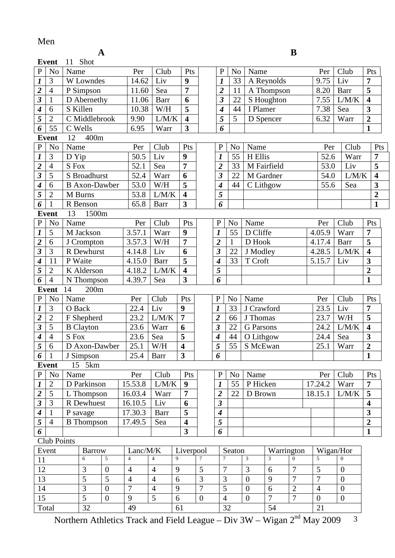### Men

|                                           | B<br>A<br><b>Event</b>           |        |                             |                |                |                                                      |                          |                |                                |                       |                  |                                  |  |                  |                |                                           |     |
|-------------------------------------------|----------------------------------|--------|-----------------------------|----------------|----------------|------------------------------------------------------|--------------------------|----------------|--------------------------------|-----------------------|------------------|----------------------------------|--|------------------|----------------|-------------------------------------------|-----|
|                                           |                                  | 11     | Shot                        |                |                |                                                      |                          |                |                                |                       |                  |                                  |  |                  |                |                                           |     |
| $\mathbf{P}$                              | N <sub>o</sub>                   | Name   |                             |                | Per            | Club                                                 | Pts                      |                | $\mathbf P$                    | N <sub>o</sub>        | Name             |                                  |  | Per              | Club           | Pts                                       |     |
| $\overline{\mathbf{I}}$                   | $\mathfrak{Z}$                   |        | W Lowndes                   |                | 14.62          | Liv                                                  | $\boldsymbol{9}$         |                | $\boldsymbol{l}$               | 33                    |                  | A Reynolds                       |  | 9.75             | Liv            | 7                                         |     |
| $\overline{\mathbf{2}}$                   | $\overline{4}$                   |        | P Simpson                   |                | 11.60          | Sea                                                  | $\overline{7}$           |                | $\overline{\mathbf{2}}$        | 11                    |                  | A Thompson                       |  | 8.20             | Barr           | 5                                         |     |
|                                           | $\mathbf{1}$                     |        | D Abernethy                 |                | 11.06          | Barr                                                 | 6                        |                | $\overline{\mathbf{3}}$        | 22                    |                  | S Houghton                       |  | 7.55             | L/M/K          | $\overline{\mathbf{4}}$                   |     |
| $\overline{4}$                            | 6                                |        | S Killen                    |                | 10.38          | W/H                                                  | $\overline{\mathbf{5}}$  |                | 4                              | 44                    | I Plamer         |                                  |  | 7.38             | Sea            | $\overline{\mathbf{3}}$                   |     |
| $\overline{5}$                            | $\overline{2}$                   |        | C Middlebrook               |                | 9.90           | L/M/K                                                | $\overline{\mathbf{4}}$  |                | 5                              | 5                     |                  | D Spencer                        |  | 6.32             | Warr           | $\overline{2}$                            |     |
| 6                                         | 55                               |        | C Wells                     |                | 6.95           | Warr                                                 | 3                        |                | 6                              |                       |                  |                                  |  |                  |                | $\mathbf{1}$                              |     |
|                                           | <b>Event</b>                     | 12     | 400m                        |                |                |                                                      |                          |                |                                |                       |                  |                                  |  |                  |                |                                           |     |
| ${\bf P}$                                 | N <sub>o</sub>                   | Name   |                             |                | Per            | Club                                                 | Pts                      |                | $\mathbf{P}$                   | No                    | Name             |                                  |  | Per              | Club           |                                           | Pts |
| $\overline{\mathbf{I}}$                   | 3                                | D Yip  |                             |                | 50.5           | Liv                                                  | 9                        |                | 1                              | 55                    | H Ellis          |                                  |  | 52.6             | Warr           | $\overline{7}$                            |     |
| $\overline{2}$                            | $\overline{4}$                   | S Fox  |                             |                | 52.1           | Sea                                                  | 7                        |                | $\overline{2}$                 | 33                    |                  | M Fairfield                      |  | 53.0             | Liv            | 5                                         |     |
| $\overline{\mathbf{3}}$                   | 5                                |        | S Broadhurst                |                | 52.4           | Warr                                                 | 6                        |                | 3                              | 22                    |                  | M Gardner                        |  | 54.0             | L/M/K          | $\overline{\mathbf{4}}$                   |     |
| $\overline{\mathcal{A}}$                  | 6                                |        | <b>B</b> Axon-Dawber        |                | 53.0           | W/H                                                  | 5                        |                | $\boldsymbol{4}$               | 44                    |                  | C Lithgow                        |  | 55.6             | Sea            | 3                                         |     |
| $\overline{5}$                            | $\overline{2}$                   |        | M Burns                     |                | 53.8           | L/M/K                                                | $\overline{\mathbf{4}}$  |                | 5                              |                       |                  |                                  |  |                  |                | $\overline{2}$                            |     |
| $\overline{6}$                            | $\mathbf{1}$                     |        | R Benson                    |                | 65.8           | <b>Barr</b>                                          | $\overline{\mathbf{3}}$  |                | 6                              |                       |                  |                                  |  |                  |                | $\mathbf{1}$                              |     |
|                                           | Event                            | 13     | 1500m                       |                |                |                                                      |                          |                |                                |                       |                  |                                  |  |                  |                |                                           |     |
| $\overline{P}$                            | N <sub>o</sub>                   | Name   |                             |                | Per            | Club                                                 | Pts                      |                | $\mathbf{P}$                   | N <sub>o</sub>        | Name             |                                  |  | Per              | Club           | Pts                                       |     |
| $\boldsymbol{l}$                          | 5                                |        | M Jackson                   |                | 3.57.1         | Warr                                                 | 9                        |                | $\boldsymbol{l}$               | 55                    | D Cliffe         |                                  |  | 4.05.9           | Warr           | 7                                         |     |
| $\frac{2}{3}$                             | 6                                |        | J Crompton                  |                | 3.57.3         | W/H                                                  | 7                        |                | $\overline{2}$                 | $\mathbf{1}$          | D Hook           |                                  |  | 4.17.4           | <b>Barr</b>    | 5                                         |     |
|                                           | 3                                |        | R Dewhurst                  |                | 4.14.8         | Liv                                                  | 6                        |                | $\overline{\mathbf{3}}$        | 22                    | J Modley         |                                  |  | 4.28.5           | L/M/K          | $\overline{\mathbf{4}}$                   |     |
| $\overline{4}$                            | 11                               |        | P Waite                     |                | 4.15.0         | <b>Barr</b>                                          | 5                        |                | 4                              | 33                    | T Croft          |                                  |  | 5.15.7           | Liv            | 3                                         |     |
| 5                                         | $\overline{2}$                   |        | K Alderson                  |                | 4.18.2         | L/M/K                                                | $\overline{\mathbf{4}}$  |                | 5                              |                       |                  |                                  |  |                  |                | $\overline{2}$                            |     |
| $\overline{6}$                            | $\overline{4}$                   |        | 4.39.7<br>N Thompson<br>Sea |                |                |                                                      | $\overline{\mathbf{3}}$  |                | 6                              |                       |                  |                                  |  |                  |                | $\mathbf{1}$                              |     |
|                                           | <b>Event</b>                     | 14     | 200m                        |                |                |                                                      |                          |                |                                |                       |                  |                                  |  |                  |                |                                           |     |
| $\overline{P}$                            | N <sub>o</sub>                   | Name   |                             |                | Per            | Club                                                 | Pts                      |                | $\mathbf P$                    | N <sub>o</sub>        | Name             |                                  |  | Per              | Club           | Pts                                       |     |
| $\boldsymbol{l}$                          | $\mathfrak{Z}$                   | O Back |                             |                | 22.4           | Liv                                                  | 9                        |                | $\boldsymbol{l}$               | 33                    | J Crawford       |                                  |  | 23.5             | Liv            | 7                                         |     |
| $\overline{2}$                            | $\overline{2}$                   |        | F Shepherd                  |                | 23.2           | L/M/K                                                | $\overline{7}$           |                | $\overline{2}$                 | 66                    | J Thomas         |                                  |  | 23.7             | W/H            | 5                                         |     |
| $\overline{\mathbf{3}}$<br>$\overline{4}$ | 5                                |        | <b>B</b> Clayton            |                | 23.6           | Warr                                                 | 6                        |                | $\overline{\mathbf{3}}$        | 22                    | <b>G</b> Parsons |                                  |  | 24.2             | L/M/K<br>Sea   | $\overline{\mathbf{4}}$                   |     |
|                                           | $\overline{4}$<br>$\overline{6}$ | S Fox  |                             |                | 23.6<br>25.1   | Sea                                                  | 5<br>$\overline{\bf{4}}$ |                | 4<br>$\overline{\overline{5}}$ | 44<br>$\overline{55}$ | O Lithgow        |                                  |  | 24.4             | Warr           | $\overline{\mathbf{3}}$<br>$\overline{2}$ |     |
| 5 <sup>1</sup><br>6                       |                                  |        | D Axon-Dawber               |                |                | $\ensuremath{\text{W}}\xspace/\ensuremath{\text{H}}$ | $\overline{\mathbf{3}}$  |                | 6                              |                       | S McEwan         |                                  |  | 25.1             |                | $\mathbf{1}$                              |     |
|                                           | 1<br><b>Event</b>                |        | J Simpson<br>15 5km         |                | 25.4           | Barr                                                 |                          |                |                                |                       |                  |                                  |  |                  |                |                                           |     |
| $\, {\bf P}$                              | N <sub>0</sub>                   | Name   |                             |                | Per            | Club                                                 | Pts                      |                | ${\bf P}$                      | N <sub>0</sub>        | Name             |                                  |  | Per              | Club           | Pts                                       |     |
| $\boldsymbol{l}$                          | $\overline{2}$                   |        | D Parkinson                 |                | 15.53.8        | L/M/K                                                | 9                        |                | 1                              | 55                    | P Hicken         |                                  |  | 17.24.2          | Warr           | 7                                         |     |
|                                           | 5                                |        | L Thompson                  |                | 16.03.4        | Warr                                                 | $\overline{7}$           |                | $\overline{\mathbf{2}}$        | 22                    | D Brown          |                                  |  | 18.15.1          | L/M/K          | 5                                         |     |
| $\frac{2}{3}$                             | 3                                |        | R Dewhuest                  |                | 16.10.5        | Liv                                                  | 6                        |                | $\mathfrak{z}$                 |                       |                  |                                  |  |                  |                | $\overline{\mathbf{4}}$                   |     |
| $\overline{4}$                            | $\mathbf{1}$                     |        | P savage                    |                | 17.30.3        | Barr                                                 | 5                        |                | $\boldsymbol{4}$               |                       |                  |                                  |  |                  |                | 3                                         |     |
| $\overline{5}$                            | $\overline{4}$                   |        | <b>B</b> Thompson           |                | 17.49.5        | Sea                                                  | $\overline{\mathbf{4}}$  |                | 5                              |                       |                  |                                  |  |                  |                | $\overline{2}$                            |     |
| 6                                         |                                  |        |                             |                |                |                                                      | 3                        |                | 6                              |                       |                  |                                  |  |                  |                | $\mathbf{1}$                              |     |
|                                           | Club Points                      |        |                             |                |                |                                                      |                          |                |                                |                       |                  |                                  |  |                  |                |                                           |     |
|                                           | Event                            |        | <b>Barrow</b>               |                | Lanc/M/K       |                                                      | Liverpool                |                |                                | Seaton                |                  | Warrington                       |  |                  | Wigan/Hor      |                                           |     |
| 11                                        |                                  |        | 6                           | $\overline{5}$ | $\overline{4}$ | $\overline{4}$                                       | 9                        | $\overline{7}$ | $\tau$                         |                       | 3                | $\Omega$<br>3                    |  | 5                | $\Omega$       |                                           |     |
| 12                                        |                                  |        | 3                           | $\overline{0}$ | $\overline{4}$ | $\overline{4}$                                       | 9                        | 5              | $\overline{7}$                 |                       | 3                | $\overline{7}$<br>6              |  | 5                | $\overline{0}$ |                                           |     |
| 13                                        |                                  |        | 5                           | 5              | $\overline{4}$ | $\overline{4}$                                       | 6                        | 3              | 3                              |                       | $\mathbf{0}$     | 7<br>9                           |  | 7                | $\overline{0}$ |                                           |     |
| 14                                        |                                  |        | 3                           | $\overline{0}$ | 7              | $\overline{4}$                                       | 9                        | $\overline{7}$ | 5                              |                       | $\overline{0}$   | 6<br>$\overline{2}$              |  | $\overline{4}$   | $\overline{0}$ |                                           |     |
| 15                                        |                                  |        | $\overline{5}$              | $\overline{0}$ | 9              | $\overline{5}$                                       | 6                        | $\overline{0}$ | $\overline{4}$                 |                       | $\boldsymbol{0}$ | $\overline{7}$<br>$\overline{7}$ |  | $\boldsymbol{0}$ | $\overline{0}$ |                                           |     |
| Total                                     |                                  |        | 32                          |                | 49             |                                                      | 61                       |                |                                | 32                    |                  | 54                               |  | 21               |                |                                           |     |
|                                           |                                  |        |                             |                |                |                                                      |                          |                |                                |                       |                  |                                  |  |                  |                |                                           |     |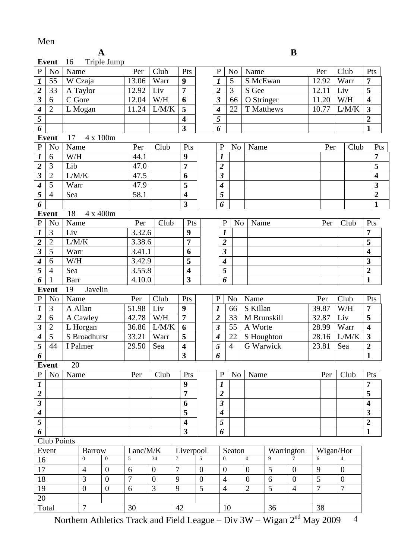### Men

|                         | <b>Event</b>                  | 16          |                | Triple Jump      |                |                  |                         |                  |                         |                |                |                  |             |                  |                |                  |       |                         |
|-------------------------|-------------------------------|-------------|----------------|------------------|----------------|------------------|-------------------------|------------------|-------------------------|----------------|----------------|------------------|-------------|------------------|----------------|------------------|-------|-------------------------|
| $\mathbf{P}$            | N <sub>o</sub>                | Name        |                |                  | Per            | Club             | Pts                     |                  | $\mathbf{P}$            | N <sub>0</sub> |                | Name             |             |                  | Per            |                  | Club  | Pts                     |
| $\overline{\mathbf{I}}$ | 55                            |             | W Czaja        |                  | 13.06          | Warr             | 9                       |                  | 1                       | 5              |                | S McEwan         |             |                  | 12.92          |                  | Warr  | 7                       |
|                         | 33                            |             | A Taylor       |                  | 12.92          | Liv              | $\overline{7}$          |                  | $\overline{\mathbf{c}}$ | 3              |                | S Gee            |             |                  | 12.11          | Liv              |       | 5                       |
| $\frac{2}{3}$           | 6                             | C Gore      |                |                  | 12.04          | W/H              | 6                       |                  | $\boldsymbol{\beta}$    | 66             |                | O Stringer       |             |                  | 11.20          |                  | W/H   | $\overline{\mathbf{4}}$ |
| $\overline{4}$          | $\overline{2}$                |             | L Mogan        |                  | 11.24          | L/M/K            | 5                       |                  | 4                       | 22             |                |                  | T Matthews  |                  | 10.77          |                  | L/M/K | $\overline{\mathbf{3}}$ |
| $\overline{5}$          |                               |             |                |                  |                |                  | $\overline{\mathbf{4}}$ |                  | 5                       |                |                |                  |             |                  |                |                  |       | $\boldsymbol{2}$        |
| $\boldsymbol{\delta}$   |                               |             |                |                  |                |                  | $\overline{\mathbf{3}}$ |                  | 6                       |                |                |                  |             |                  |                |                  |       | $\mathbf{1}$            |
|                         | Event                         | 17          | 4 x 100m       |                  |                |                  |                         |                  |                         |                |                |                  |             |                  |                |                  |       |                         |
| $\, {\bf P}$            | N <sub>o</sub>                | Name        |                |                  | Per            | Club             | Pts                     |                  | $\mathbf{P}$            | N <sub>0</sub> |                | Name             |             |                  | Per            |                  | Club  | Pts                     |
| $\overline{\mathbf{I}}$ | 6                             | W/H         |                |                  | 44.1           |                  | $\boldsymbol{9}$        |                  | 1                       |                |                |                  |             |                  |                |                  |       | $\overline{7}$          |
| $\frac{2}{3}$           | 3                             | Lib         |                |                  | 47.0           |                  | $\overline{7}$          |                  | $\overline{\mathbf{c}}$ |                |                |                  |             |                  |                |                  |       | 5                       |
|                         | $\overline{2}$                | L/M/K       |                |                  | 47.5           |                  | 6                       |                  | $\overline{\mathbf{3}}$ |                |                |                  |             |                  |                |                  |       | $\overline{\mathbf{4}}$ |
| $\overline{\mathbf{4}}$ | 5                             | Warr        |                |                  | 47.9           |                  | 5                       |                  | $\boldsymbol{4}$        |                |                |                  |             |                  |                |                  |       | 3                       |
| $\overline{5}$          | $\overline{4}$                | Sea         |                |                  | 58.1           |                  | $\overline{\mathbf{4}}$ |                  | 5                       |                |                |                  |             |                  |                |                  |       | $\overline{2}$          |
| 6                       |                               |             |                |                  |                |                  | 3                       |                  | 6                       |                |                |                  |             |                  |                |                  |       | $\mathbf{1}$            |
|                         | <b>Event</b>                  | 18          | 4 x 400m       |                  |                |                  |                         |                  |                         |                |                |                  |             |                  |                |                  |       |                         |
| $\, {\bf P}$            | N <sub>o</sub>                | Name        |                |                  | Per            | Club             | Pts                     |                  | $\mathbf P$             |                | N <sub>0</sub> | Name             |             |                  | Per            |                  | Club  | Pts                     |
| $\overline{\mathbf{I}}$ | 3                             | Liv         |                |                  | 3.32.6         |                  | 9                       |                  | $\boldsymbol{l}$        |                |                |                  |             |                  |                |                  |       | 7                       |
| $\frac{2}{3}$           | $\overline{2}$                | L/M/K       |                |                  | 3.38.6         |                  | $\overline{7}$          |                  | $\boldsymbol{2}$        |                |                |                  |             |                  |                |                  |       | 5                       |
|                         | 5                             | Warr        |                |                  | 3.41.1         |                  | 6                       |                  | $\overline{\mathbf{3}}$ |                |                |                  |             |                  |                |                  |       | $\overline{\mathbf{4}}$ |
| $\overline{4}$          | 6                             | W/H         |                |                  | 3.42.9         |                  | 5                       |                  | $\boldsymbol{4}$        |                |                |                  |             |                  |                |                  |       | 3                       |
| $\overline{5}$          | $\overline{4}$                | Sea         |                |                  | 3.55.8         |                  | $\overline{\mathbf{4}}$ |                  | 5                       |                |                |                  |             |                  |                |                  |       | $\boldsymbol{2}$        |
| $\overline{6}$          | $\mathbf{1}$                  | <b>Barr</b> |                |                  | 4.10.0         |                  | $\overline{\mathbf{3}}$ |                  | $\overline{6}$          |                |                |                  |             |                  |                |                  |       | $\mathbf{1}$            |
|                         | <b>Event</b><br>Javelin<br>19 |             |                |                  |                |                  |                         |                  |                         |                |                |                  |             |                  |                |                  |       |                         |
| $\, {\bf P}$            | N <sub>0</sub>                | Name        |                |                  | Per            | Club             | Pts                     |                  | $\mathbf{P}$            | N <sub>o</sub> |                | Name             |             |                  | Per            |                  | Club  | Pts                     |
| $\boldsymbol{l}$        | 3                             | A Allan     |                |                  | 51.98          | Liv              | 9                       |                  | $\boldsymbol{l}$        | 66             |                | S Killan         |             |                  | 39.87          |                  | W/H   | 7                       |
| $\overline{\mathbf{c}}$ | 6                             |             | A Cawley       |                  | 42.78          | W/H              | $\overline{7}$          |                  | $\overline{2}$          | 33             |                |                  | M Brunskill |                  | 32.87          | Liv              |       | 5                       |
| $\overline{\mathbf{3}}$ | $\overline{2}$                |             | L Horgan       |                  | 36.86          | L/M/K            | 6                       |                  | 3                       | 55             |                | A Worte          |             |                  | 28.99          |                  | Warr  | $\overline{\mathbf{4}}$ |
| $\overline{4}$          | $\overline{5}$                |             | S Broadhurst   |                  | 33.21          | Warr             | 5                       |                  | 4                       | 22             |                |                  | S Houghton  |                  | 28.16          |                  | L/M/K | $\overline{\mathbf{3}}$ |
| $\overline{5}$          | 44                            |             | I Palmer       |                  | 29.50          | Sea              | 4                       |                  | 5                       | $\overline{4}$ |                | G Warwick        |             |                  | 23.81          | Sea              |       | $\boldsymbol{2}$        |
| $\overline{6}$          |                               |             |                |                  |                |                  | $\overline{\mathbf{3}}$ |                  | 6                       |                |                |                  |             |                  |                |                  |       | $\mathbf{1}$            |
|                         | Event                         | 20          |                |                  |                |                  |                         |                  |                         |                |                |                  |             |                  |                |                  |       |                         |
| P                       | N <sub>o</sub>                | Name        |                |                  | Per            | Club             | Pts                     |                  | $\mathbf{P}$            | N <sub>o</sub> |                | Name             |             |                  | Per            |                  | Club  | Pts                     |
| $\overline{\mathbf{1}}$ |                               |             |                |                  |                |                  | 9                       |                  | 1                       |                |                |                  |             |                  |                |                  |       | 7                       |
| $\frac{2}{\frac{3}{4}}$ |                               |             |                |                  |                |                  | 7                       |                  | $\overline{\mathbf{2}}$ |                |                |                  |             |                  |                |                  |       | 5                       |
|                         |                               |             |                |                  |                |                  | 6                       |                  | $\overline{\mathbf{3}}$ |                |                |                  |             |                  |                |                  |       | $\overline{\mathbf{4}}$ |
|                         |                               |             |                |                  |                |                  | 5                       |                  | $\boldsymbol{4}$        |                |                |                  |             |                  |                |                  |       | 3                       |
|                         |                               |             |                |                  |                |                  | $\overline{\mathbf{4}}$ |                  | 5                       |                |                |                  |             |                  |                |                  |       | $\boldsymbol{2}$        |
| 6                       |                               |             |                |                  |                |                  | $\overline{\mathbf{3}}$ |                  | 6                       |                |                |                  |             |                  |                |                  |       | $\mathbf{1}$            |
|                         | Club Points                   |             |                |                  |                |                  |                         |                  |                         |                |                |                  |             |                  |                |                  |       |                         |
|                         | Event                         |             | <b>Barrow</b>  |                  | Lanc/M/K       |                  | Liverpool               |                  |                         | Seaton         |                |                  | Warrington  |                  | Wigan/Hor      |                  |       |                         |
| 16                      |                               |             | $\overline{0}$ | $\overline{0}$   | 5              | 34               | $\tau$                  | $\overline{5}$   | $\Omega$                |                |                | $\overline{0}$   | 9           | $\overline{7}$   | 6              | $\overline{4}$   |       |                         |
| 17                      |                               |             | $\overline{4}$ | $\boldsymbol{0}$ | 6              | $\boldsymbol{0}$ | $\tau$                  | $\overline{0}$   | $\boldsymbol{0}$        |                |                | $\boldsymbol{0}$ | 5           | $\mathbf{0}$     | 9              | $\boldsymbol{0}$ |       |                         |
| 18                      |                               |             | 3              | $\boldsymbol{0}$ | $\overline{7}$ | $\overline{0}$   | 9                       | $\boldsymbol{0}$ | $\overline{4}$          |                |                | $\overline{0}$   | 6           | $\boldsymbol{0}$ | 5              | $\overline{0}$   |       |                         |
| 19                      |                               |             | $\overline{0}$ | $\mathbf{0}$     | 6              | 3                | 9                       | 5                | $\overline{4}$          |                |                | $\overline{2}$   | 5           | $\overline{4}$   | $\overline{7}$ | $\overline{7}$   |       |                         |
| 20                      |                               |             |                |                  |                |                  |                         |                  |                         |                |                |                  |             |                  |                |                  |       |                         |
|                         | $\overline{7}$<br>Total       |             |                | 30               |                | 42               |                         |                  | 10                      |                |                | 36               |             | 38               |                |                  |       |                         |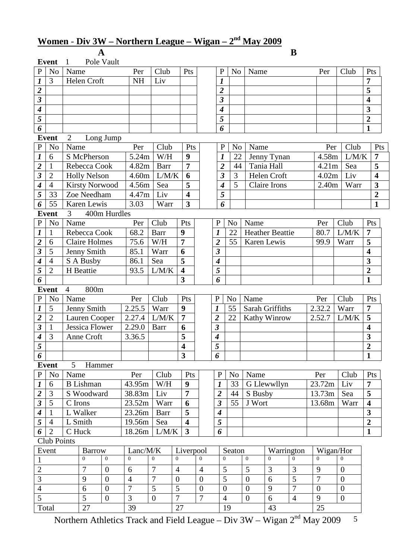# **Women** - **Div 3W – Northern League – Wigan – 2nd May 2009**

|                             | B<br>A<br>Pole Vault<br><b>Event</b><br>$\mathbf{1}$ |                        |                  |                |                |                         |                                                    |                |                             |                |                |                        |                |                |                  |                         |
|-----------------------------|------------------------------------------------------|------------------------|------------------|----------------|----------------|-------------------------|----------------------------------------------------|----------------|-----------------------------|----------------|----------------|------------------------|----------------|----------------|------------------|-------------------------|
|                             |                                                      |                        |                  |                |                |                         |                                                    |                |                             |                |                |                        |                |                |                  |                         |
| $\mathbf P$                 | N <sub>o</sub>                                       | Name                   |                  | Per            | Club           |                         | Pts                                                |                | $\mathbf P$                 | N <sub>o</sub> | Name           |                        |                | Per            | Club             | Pts                     |
| $\boldsymbol{l}$            | 3                                                    | Helen Croft            |                  | <b>NH</b>      | Liv            |                         |                                                    |                | 1                           |                |                |                        |                |                |                  | $\overline{7}$          |
| $\overline{\mathbf{2}}$     |                                                      |                        |                  |                |                |                         |                                                    |                | $\overline{\mathbf{2}}$     |                |                |                        |                |                |                  | 5                       |
| $\mathfrak{z}$              |                                                      |                        |                  |                |                |                         |                                                    |                | $\overline{\mathbf{3}}$     |                |                |                        |                |                |                  | $\overline{\mathbf{4}}$ |
| $\boldsymbol{4}$            |                                                      |                        |                  |                |                |                         |                                                    |                | $\boldsymbol{4}$            |                |                |                        |                |                |                  | 3                       |
| $\overline{5}$              |                                                      |                        |                  |                |                |                         |                                                    |                | 5                           |                |                |                        |                |                |                  | $\overline{2}$          |
| 6                           | <b>Event</b>                                         |                        |                  |                |                |                         |                                                    |                | 6                           |                |                |                        |                |                |                  | $\mathbf{1}$            |
| ${\bf P}$                   | N <sub>o</sub>                                       | $\overline{2}$<br>Name | Long Jump        | Per            | Club           |                         | Pts                                                |                | ${\bf P}$                   | N <sub>o</sub> | Name           |                        |                | Per            | Club             | Pts                     |
| $\boldsymbol{l}$            | 6                                                    | S McPherson            |                  | 5.24m          | W/H            |                         | 9                                                  |                | 1                           | 22             |                | Jenny Tynan            |                | 4.58m          | L/M/K            | $\overline{7}$          |
| $\overline{2}$              | $\mathbf{1}$                                         | Rebecca Cook           |                  | 4.82m          | Barr           |                         | $\overline{7}$                                     |                | $\overline{\mathbf{2}}$     | 44             |                | Tania Hall             |                | 4.21m          | Sea              | 5                       |
| $\overline{\mathbf{3}}$     | $\overline{2}$                                       | <b>Holly Nelson</b>    |                  | 4.60m          | L/M/K          |                         | 6                                                  |                | $\boldsymbol{\beta}$        | 3              |                | Helen Croft            |                | 4.02m          | Liv              | $\overline{\mathbf{4}}$ |
| $\overline{\boldsymbol{4}}$ | $\overline{4}$                                       | <b>Kirsty Norwood</b>  |                  | 4.56m          | Sea            |                         | 5                                                  |                | $\boldsymbol{4}$            | 5              |                | Claire Irons           |                | 2.40m          | Warr             | $\mathbf{3}$            |
| $\overline{5}$              | 33                                                   | Zoe Needham            |                  | 4.47m          | Liv            |                         | $\overline{\mathbf{4}}$                            |                | 5                           |                |                |                        |                |                |                  | $\overline{2}$          |
| $\overline{6}$              | 55                                                   | Karen Lewis            |                  | 3.03           | Warr           |                         | $\overline{\mathbf{3}}$                            |                | 6                           |                |                |                        |                |                |                  | $\mathbf{1}$            |
|                             | <b>Event</b>                                         | $\mathfrak{Z}$         | 400m Hurdles     |                |                |                         |                                                    |                |                             |                |                |                        |                |                |                  |                         |
| ${\bf P}$                   | N <sub>o</sub>                                       | Name                   |                  | Per            | Club           |                         | Pts                                                |                | $\mathbf P$                 | N <sub>o</sub> | Name           |                        |                | Per            | Club             | Pts                     |
| $\boldsymbol{l}$            | $\mathbf{1}$                                         | Rebecca Cook           |                  | 68.2           | <b>Barr</b>    |                         | 9                                                  |                | 1                           | 22             |                | <b>Heather Beattie</b> |                | 80.7           | L/M/K            | $\overline{7}$          |
| $\overline{\mathbf{2}}$     | 6                                                    | <b>Claire Holmes</b>   |                  | 75.6           | W/H            | $\overline{7}$          |                                                    |                | $\overline{\mathbf{2}}$     | 55             |                | Karen Lewis            |                | 99.9           | Warr             | 5                       |
| $\overline{\mathbf{3}}$     | 5                                                    | Jenny Smith            |                  | 85.1           | Warr           |                         | 6                                                  |                | $\overline{\mathbf{3}}$     |                |                |                        |                |                |                  | $\overline{\mathbf{4}}$ |
| $\overline{\boldsymbol{4}}$ | $\overline{4}$                                       | S A Busby              |                  | 86.1           | Sea            |                         | 5                                                  |                | $\overline{\boldsymbol{4}}$ |                |                |                        |                |                |                  | 3                       |
| $\overline{5}$              | $\overline{2}$                                       | H Beattie              |                  | 93.5           | L/M/K          | $\overline{\mathbf{4}}$ |                                                    |                | 5                           |                |                |                        |                |                |                  | $\overline{2}$          |
| $\overline{6}$              |                                                      |                        |                  |                |                |                         | $\overline{\mathbf{3}}$                            |                | 6                           |                |                |                        |                |                |                  | $\mathbf{1}$            |
|                             | <b>Event</b>                                         | 800m<br>$\overline{4}$ |                  |                |                |                         |                                                    |                |                             |                |                |                        |                |                |                  |                         |
| ${\bf P}$                   | N <sub>o</sub>                                       | Name                   |                  | Per            | Club           |                         | Pts                                                |                | $\mathbf P$                 | N <sub>o</sub> | Name           |                        |                | Per            | Club             | Pts                     |
| $\boldsymbol{l}$            | 5                                                    | Jenny Smith            |                  | 2.25.5         | Warr           |                         | 9                                                  |                | 1                           | 55             |                | Sarah Griffiths        |                | 2.32.2         | Warr             | $\overline{7}$          |
| $\overline{2}$              | $\overline{2}$                                       | Lauren Cooper          |                  | 2.27.4         | L/M/K          |                         | $\overline{7}$                                     |                | $\overline{2}$              | 22             |                | Kathy Winrow           |                | 2.52.7         | L/M/K            | 5                       |
| $\overline{\mathbf{3}}$     | $\mathbf{1}$                                         | <b>Jessica Flower</b>  |                  | 2.29.0         | <b>Barr</b>    |                         | 6                                                  |                | $\overline{\mathbf{3}}$     |                |                |                        |                |                |                  | $\overline{\mathbf{4}}$ |
| $\boldsymbol{4}$            | 3                                                    | Anne Croft             |                  | 3.36.5         |                |                         | 5                                                  |                | $\boldsymbol{4}$            |                |                |                        |                |                |                  | 3                       |
| $\overline{5}$              |                                                      |                        |                  |                |                |                         | $\overline{\mathbf{4}}$<br>$\overline{\mathbf{3}}$ |                | $\overline{5}$              |                |                |                        |                |                |                  | $\overline{\mathbf{c}}$ |
| 6                           | <b>Event</b>                                         | 5 <sup>5</sup>         |                  |                |                |                         |                                                    |                | 6                           |                |                |                        |                |                |                  | $\mathbf{1}$            |
| $\, {\bf P}$                | N <sub>o</sub>                                       | Name                   | Hammer           | Per            | Club           |                         | Pts                                                |                | ${\bf P}$                   | N <sub>o</sub> | Name           |                        |                | Per            | Club             | Pts                     |
| $\mathbf{I}$                | 6                                                    | <b>B</b> Lishman       |                  | 43.95m         | W/H            |                         | 9                                                  |                | 1                           | 33             |                | G Llewwllyn            |                | 23.72m         | Liv              | $\overline{7}$          |
|                             | 3                                                    | S Woodward             |                  | 38.83m         | Liv            |                         | $\overline{7}$                                     |                | $\boldsymbol{2}$            | 44             | S Busby        |                        |                | 13.73m         | Sea              | 5                       |
| $\frac{2}{3}$               | $\overline{5}$                                       | C Irons                |                  | 23.52m         | Warr           |                         | 6                                                  |                | $\mathfrak{z}$              | 55             | J Wort         |                        |                | 13.68m         | Warr             | $\overline{\mathbf{4}}$ |
| $\overline{4}$              | $\mathbf{1}$                                         | L Walker               |                  | 23.26m         | <b>Barr</b>    |                         | 5                                                  |                | 4                           |                |                |                        |                |                |                  | $\mathbf{3}$            |
| $\overline{5}$              | $\overline{4}$                                       | L Smith                |                  | 19.56m         | Sea            |                         | $\overline{\mathbf{4}}$                            |                | 5                           |                |                |                        |                |                |                  | $\overline{2}$          |
| 6                           | 2                                                    | C Huck                 |                  | 18.26m         | L/M/K          |                         | 3                                                  |                | 6                           |                |                |                        |                |                |                  | 1                       |
|                             | Club Points                                          |                        |                  |                |                |                         |                                                    |                |                             |                |                |                        |                |                |                  |                         |
|                             | Event                                                | <b>Barrow</b>          |                  | Lanc/M/K       |                |                         | Liverpool                                          |                |                             | Seaton         |                | Warrington             |                | Wigan/Hor      |                  |                         |
| $\mathbf{1}$                |                                                      | $\overline{0}$         | $\boldsymbol{0}$ | $\mathbf{0}$   | $\overline{0}$ | $\mathbf{0}$            |                                                    | $\overline{0}$ | $\overline{0}$              |                | $\mathbf{0}$   | $\overline{0}$         | $\overline{0}$ | $\overline{0}$ | $\theta$         |                         |
| $\overline{2}$              |                                                      | $\overline{7}$         | $\overline{0}$   | 6              | 7              | $\overline{4}$          |                                                    | $\overline{4}$ | 5                           |                | 5              | 3                      | 3              | 9              | $\overline{0}$   |                         |
| $\overline{3}$              |                                                      | 9                      | $\overline{0}$   | $\overline{4}$ | 7              | $\overline{0}$          |                                                    | $\mathbf{0}$   | 5                           |                | $\overline{0}$ | 6                      | 5              | $\overline{7}$ | $\overline{0}$   |                         |
| $\overline{4}$              |                                                      | 6                      | $\overline{0}$   | 7              | 5              | 5                       |                                                    | $\mathbf{0}$   | $\overline{0}$              |                | $\overline{0}$ | 9                      | 7              | $\overline{0}$ | $\overline{0}$   |                         |
| $\overline{5}$              |                                                      | $\overline{5}$         | $\overline{0}$   | $\overline{3}$ | $\overline{0}$ | $\overline{7}$          |                                                    | $\overline{7}$ | $\overline{4}$              |                | $\overline{0}$ | $\overline{6}$         | $\overline{4}$ | 9              | $\boldsymbol{0}$ |                         |
|                             | Total<br>27                                          |                        |                  | 39             |                | 27                      |                                                    |                |                             | 19             |                | 43                     |                | 25             |                  |                         |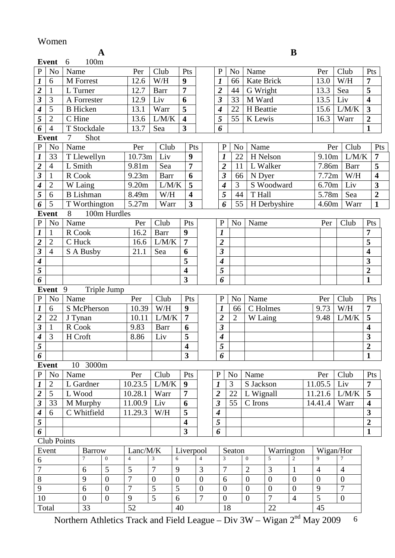### Women

| . .               |  |
|-------------------|--|
| I<br>I<br>۰.<br>v |  |

|                             |                                  |                | A                    |                  |                |                |                  |                         |                  |                              |                |                |                   | B                |                  |                  |             |                         |
|-----------------------------|----------------------------------|----------------|----------------------|------------------|----------------|----------------|------------------|-------------------------|------------------|------------------------------|----------------|----------------|-------------------|------------------|------------------|------------------|-------------|-------------------------|
|                             | Event                            | 6              | 100m                 |                  |                |                |                  |                         |                  |                              |                |                |                   |                  |                  |                  |             |                         |
| $\, {\bf P}$                | N <sub>o</sub>                   | Name           |                      |                  | Per            | Club           |                  | Pts                     |                  | $\mathbf P$                  | N <sub>o</sub> | Name           |                   |                  | Per              | Club             |             | Pts                     |
| $\boldsymbol{l}$            | 6                                |                | M Forrest            |                  | 12.6           | W/H            |                  | $\boldsymbol{9}$        |                  | 1                            | 66             |                | <b>Kate Brick</b> |                  | 13.0             | W/H              |             | $\overline{7}$          |
| $\frac{2}{3}$               | $\mathbf{1}$                     |                | L Turner             |                  | 12.7           | <b>Barr</b>    |                  | $\overline{7}$          |                  | $\overline{2}$               | 44             | G Wright       |                   |                  | 13.3             | Sea              |             | $\overline{\mathbf{5}}$ |
|                             | 3                                |                | A Forrester          |                  | 12.9           | Liv            |                  | 6                       |                  | $\overline{\mathbf{3}}$      | 33             | M Ward         |                   |                  | 13.5             | Liv              |             | $\overline{\mathbf{4}}$ |
| $\overline{\boldsymbol{4}}$ | 5                                |                | <b>B</b> Hicken      |                  | 13.1           | Warr           |                  | 5                       |                  | 4                            | 22             | H Beattie      |                   |                  | 15.6             |                  | L/M/K       | $\overline{\mathbf{3}}$ |
| $\overline{5}$              | $\overline{2}$                   | C Hine         |                      |                  | 13.6           | L/M/K          |                  | $\overline{\mathbf{4}}$ |                  | 5                            | 55             | K Lewis        |                   |                  | 16.3             | Warr             |             | $\overline{2}$          |
| $\boldsymbol{6}$            | $\overline{4}$                   |                | T Stockdale          |                  | 13.7           | Sea            |                  | 3                       |                  | 6                            |                |                |                   |                  |                  |                  |             | $\mathbf{1}$            |
|                             | Event                            | $\overline{7}$ | Shot                 |                  |                |                |                  |                         |                  |                              |                |                |                   |                  |                  |                  |             |                         |
| ${\bf P}$                   | N <sub>o</sub>                   | Name           |                      |                  | Per            | Club           |                  | Pts                     |                  | $\mathbf P$                  | N <sub>o</sub> | Name           |                   |                  | Per              |                  | Club        | Pts                     |
| $\overline{\mathbf{I}}$     | 33                               |                | T Llewellyn          |                  | 10.73m         | Liv            |                  | 9                       |                  | $\boldsymbol{l}$             | 22             |                | H Nelson          |                  | 9.10m            |                  | L/M/K       | $\overline{7}$          |
| $\overline{2}$              | $\overline{4}$                   |                | L Smith              |                  | 9.81m          | Sea            |                  | $\overline{7}$          |                  | $\overline{2}$               | 11             |                | L Walker          |                  | 7.86m            |                  | <b>Barr</b> | 5                       |
| $\overline{\mathbf{3}}$     | $\mathbf{1}$                     | R Cook         |                      |                  | 9.23m          | Barr           |                  | 6                       |                  | $\boldsymbol{\beta}$         | 66             | N Dyer         |                   |                  | 7.72m            |                  | W/H         | $\overline{\mathbf{4}}$ |
| $\overline{\boldsymbol{4}}$ | $\mathbf{2}$                     |                | $\overline{W}$ Laing |                  | 9.20m          | L/M/K          |                  | 5                       |                  | $\boldsymbol{4}$             | 3              |                | S Woodward        |                  | 6.70m            |                  | Liv         | 3                       |
| $\overline{5}$              | 6                                |                | <b>B</b> Lishman     |                  | 8.49m          | W/H            |                  | 4                       |                  | 5                            | 44             | T Hall         |                   |                  | 5.78m            |                  | Sea         | $\overline{2}$          |
| $\overline{6}$              | 5                                |                | T Worthington        |                  | 5.27m          | Warr           |                  | $\overline{\mathbf{3}}$ |                  | 6                            | 55             |                | H Derbyshire      |                  | 4.60m            |                  | Warr        | $\mathbf{1}$            |
|                             | <b>Event</b>                     | 8              |                      | 100m Hurdles     |                |                |                  |                         |                  |                              |                |                |                   |                  |                  |                  |             |                         |
| $\overline{P}$              | N <sub>o</sub>                   | Name           |                      |                  | Per            | Club           |                  | Pts                     |                  | $\mathbf{P}$                 | N <sub>o</sub> | Name           |                   |                  | Per              |                  | Club        | Pts                     |
| $\boldsymbol{l}$            | $\mathbf{1}$                     |                | R Cook               |                  | 16.2           | <b>Barr</b>    |                  | 9                       |                  | $\boldsymbol{l}$             |                |                |                   |                  |                  |                  |             | $\overline{7}$          |
| $\overline{2}$              | $\overline{2}$                   | C Huck         |                      |                  | 16.6           | L/M/K          |                  | $\overline{7}$          |                  | $\overline{2}$               |                |                |                   |                  |                  |                  |             | 5                       |
| $\overline{\mathbf{3}}$     | $\overline{4}$                   |                | S A Busby            |                  | 21.1           | Sea            |                  | 6                       |                  | $\boldsymbol{\beta}$         |                |                |                   |                  |                  |                  |             | 4                       |
| $\overline{\boldsymbol{4}}$ |                                  |                |                      |                  |                |                |                  | 5                       |                  | $\boldsymbol{4}$             |                |                |                   |                  |                  |                  |             | 3                       |
| 5                           |                                  |                |                      |                  |                |                |                  | $\overline{\mathbf{4}}$ |                  | 5                            |                |                |                   |                  |                  |                  |             | $\overline{2}$          |
| $\overline{6}$              | <b>Event</b><br>Triple Jump<br>9 |                |                      |                  |                |                |                  | $\overline{\mathbf{3}}$ |                  | 6                            |                |                |                   |                  |                  |                  |             | $\mathbf{1}$            |
| ${\bf P}$                   |                                  | Name           |                      |                  | Per            | Club           |                  | Pts                     |                  | $\mathbf{P}$                 | N <sub>o</sub> | Name           |                   |                  |                  | Club             |             | Pts                     |
| $\boldsymbol{l}$            | N <sub>0</sub><br>6              |                | S McPherson          |                  | 10.39          | W/H            |                  | 9                       |                  |                              | 66             |                | C Holmes          |                  | Per<br>9.73      | W/H              |             | $\overline{7}$          |
| $\overline{2}$              | 22                               | J Tynan        |                      |                  | 10.11          | L/M/K          |                  | 7                       |                  | 1<br>$\overline{\mathbf{2}}$ | $\overline{2}$ | W Laing        |                   |                  | 9.48             |                  | L/M/K       | 5                       |
|                             | $\mathbf{1}$                     | R Cook         |                      |                  | 9.83           | <b>Barr</b>    |                  | 6                       |                  | $\overline{\mathbf{3}}$      |                |                |                   |                  |                  |                  |             | $\overline{\mathbf{4}}$ |
| $\boldsymbol{4}$            | 3                                | H Croft        |                      |                  | 8.86           | Liv            |                  | 5                       |                  | 4                            |                |                |                   |                  |                  |                  |             | 3                       |
| $\overline{5}$              |                                  |                |                      |                  |                |                |                  | $\overline{\mathbf{4}}$ |                  | $\overline{5}$               |                |                |                   |                  |                  |                  |             | $\overline{2}$          |
| $\boldsymbol{6}$            |                                  |                |                      |                  |                |                |                  | $\overline{\mathbf{3}}$ |                  | 6                            |                |                |                   |                  |                  |                  |             | $\mathbf{1}$            |
|                             | <b>Event</b>                     |                | 10 3000m             |                  |                |                |                  |                         |                  |                              |                |                |                   |                  |                  |                  |             |                         |
| $\mathbf{P}$                | N <sub>0</sub>                   | Name           |                      |                  | Per            | Club           |                  | Pts                     |                  | $\mathbf P$                  | N <sub>o</sub> | Name           |                   |                  | Per              | Club             |             | Pts                     |
| $\boldsymbol{l}$            | $\overline{2}$                   |                | L Gardner            |                  | 10.23.5        | L/M/K          |                  | 9                       |                  | 1                            | 3              | S Jackson      |                   |                  | 11.05.5          | Liv              |             | $\overline{7}$          |
|                             | 5                                |                | L Wood               |                  | 10.28.1        | Warr           |                  | $\overline{7}$          |                  | $\overline{\mathbf{2}}$      | 22             | L Wignall      |                   |                  | 11.21.6          |                  | L/M/K       | 5                       |
| $\frac{2}{3}$               | 33                               |                | M Murphy             |                  | 11.00.9        | Liv            |                  | 6                       |                  | $\boldsymbol{\mathfrak{z}}$  | 55             | C Irons        |                   |                  | 14.41.4          | Warr             |             | $\overline{\mathbf{4}}$ |
| $\overline{4}$              | 6                                |                | C Whitfield          |                  | 11.29.3        | W/H            |                  | 5                       |                  | $\boldsymbol{4}$             |                |                |                   |                  |                  |                  |             | $\mathbf{3}$            |
| $\overline{5}$              |                                  |                |                      |                  |                |                |                  | $\overline{\mathbf{4}}$ |                  | 5                            |                |                |                   |                  |                  |                  |             | $\overline{2}$          |
| $\boldsymbol{6}$            |                                  |                |                      |                  |                |                |                  | $\overline{\mathbf{3}}$ |                  | 6                            |                |                |                   |                  |                  |                  |             | 1                       |
|                             | Club Points                      |                |                      |                  |                |                |                  |                         |                  |                              |                |                |                   |                  |                  |                  |             |                         |
|                             | Event                            |                | <b>Barrow</b>        |                  | Lanc/M/K       |                |                  | Liverpool               |                  |                              | Seaton         |                | Warrington        |                  | Wigan/Hor        |                  |             |                         |
| 6                           |                                  |                | 7                    | $\overline{0}$   | $\overline{4}$ | 3              | 6                |                         | $\overline{4}$   | 3                            |                | $\overline{0}$ | 5                 | $\overline{2}$   | 9                | 7                |             |                         |
| $\overline{7}$              |                                  |                | 6                    | 5                | 5              | $\overline{7}$ | 9                |                         | 3                | $\overline{7}$               |                | $\overline{2}$ | 3                 | $\mathbf{1}$     | $\overline{4}$   | 4                |             |                         |
| $\overline{8}$              |                                  |                | 9                    | $\overline{0}$   | 7              | $\theta$       | $\boldsymbol{0}$ |                         | $\boldsymbol{0}$ | 6                            |                | $\overline{0}$ | $\overline{0}$    | $\boldsymbol{0}$ | $\boldsymbol{0}$ | $\overline{0}$   |             |                         |
| 9                           |                                  |                | 6                    | $\overline{0}$   | 7              | 5              | 5                |                         | $\theta$         | $\boldsymbol{0}$             |                | $\overline{0}$ | $\boldsymbol{0}$  | $\overline{0}$   | 9                | 7                |             |                         |
| $\overline{10}$             |                                  |                | $\boldsymbol{0}$     | $\boldsymbol{0}$ | 9              | $\overline{5}$ | 6                |                         | $\overline{7}$   | $\boldsymbol{0}$             |                | $\overline{0}$ | $\overline{7}$    | $\overline{4}$   | $\overline{5}$   | $\boldsymbol{0}$ |             |                         |
|                             | Total                            |                | 33                   |                  | 52             |                | 40               |                         |                  |                              | 18             |                | 22                |                  | 45               |                  |             |                         |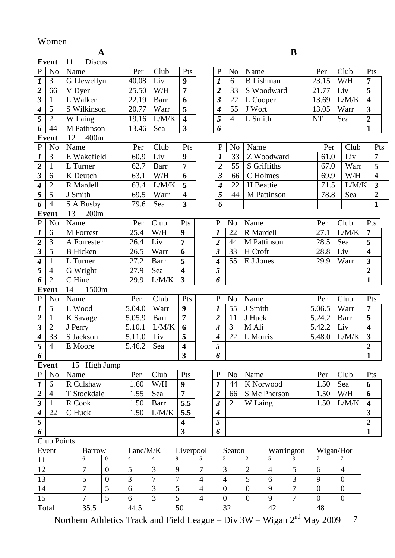### Women

**A B** 

| ٦      |  |
|--------|--|
| ŗ<br>v |  |

|                             | <b>Event</b>                | 11<br>Discus    |                  |                |                |                         |                |                         |                |                  |                |                |                  |        |                |                         |
|-----------------------------|-----------------------------|-----------------|------------------|----------------|----------------|-------------------------|----------------|-------------------------|----------------|------------------|----------------|----------------|------------------|--------|----------------|-------------------------|
| $\mathbf{P}$                | N <sub>o</sub>              | Name            |                  | Per            | Club           | Pts                     |                | $\mathbf{P}$            | N <sub>o</sub> | Name             |                |                |                  | Per    | Club           | Pts                     |
| $\boldsymbol{l}$            | 3                           | G Llewellyn     |                  | 40.08          | Liv            | 9                       |                | $\boldsymbol{l}$        | 6              | <b>B</b> Lishman |                |                |                  | 23.15  | W/H            | $\overline{7}$          |
| $\overline{2}$              | 66                          | V Dyer          |                  | 25.50          | W/H            | $\overline{7}$          |                | $\overline{2}$          | 33             |                  | S Woodward     |                |                  | 21.77  | Liv            | $\overline{\mathbf{5}}$ |
| $\overline{\mathbf{3}}$     | 1                           | L Walker        |                  | 22.19          | Barr           | 6                       |                | $\boldsymbol{\beta}$    | 22             | L Cooper         |                |                |                  | 13.69  | L/M/K          | $\overline{\mathbf{4}}$ |
| $\boldsymbol{4}$            | 5                           | S Wilkinson     |                  | 20.77          | Warr           | 5                       |                | 4                       | 55             | J Wort           |                |                |                  | 13.05  | Warr           | $\overline{\mathbf{3}}$ |
| $\overline{5}$              | $\overline{2}$              | W Laing         |                  | 19.16          | L/M/K          | $\overline{\mathbf{4}}$ |                | 5                       | $\overline{4}$ | L Smith          |                |                | <b>NT</b>        |        | Sea            | $\overline{2}$          |
| 6                           | 44                          | M Pattinson     |                  | 13.46          | Sea            | $\overline{\mathbf{3}}$ |                | 6                       |                |                  |                |                |                  |        |                | 1                       |
|                             | <b>Event</b>                | 400m<br>12      |                  |                |                |                         |                |                         |                |                  |                |                |                  |        |                |                         |
| $\, {\bf P}$                | No                          | Name            |                  | Per            | Club           | Pts                     |                | $\mathbf P$             | N <sub>o</sub> | Name             |                |                |                  | Per    | Club           | Pts                     |
| $\boldsymbol{l}$            | 3                           | E Wakefield     |                  | 60.9           | Liv            | 9                       |                | $\boldsymbol{l}$        | 33             |                  | Z Woodward     |                |                  | 61.0   | Liv            | $\overline{7}$          |
| $\frac{2}{3}$               | $\mathbf{1}$                | L Turner        |                  | 62.7           | <b>Barr</b>    | 7                       |                | $\overline{\mathbf{c}}$ | 55             | S Griffiths      |                |                |                  | 67.0   | Warr           | 5                       |
|                             | 6                           | K Deutch        |                  | 63.1           | W/H            | 6                       |                | 3                       | 66             | C Holmes         |                |                |                  | 69.9   | W/H            | $\overline{\mathbf{4}}$ |
| $\overline{\boldsymbol{4}}$ | $\overline{2}$              | R Mardell       |                  | 63.4           | L/M/K          | $\overline{\mathbf{5}}$ |                | 4                       | 22             | H Beattie        |                |                |                  | 71.5   | L/M/K          | 3                       |
| $\overline{5}$              | 5                           | J Smith         |                  | 69.5           | Warr           | $\overline{\mathbf{4}}$ |                | 5                       | 44             |                  | M Pattinson    |                |                  | 78.8   | Sea            | $\boldsymbol{2}$        |
| $\overline{6}$              | $\overline{4}$              | S A Busby       |                  | 79.6           | Sea            | $\overline{\mathbf{3}}$ |                | 6                       |                |                  |                |                |                  |        |                | $\mathbf{1}$            |
|                             | <b>Event</b>                | 13<br>200m      |                  |                |                |                         |                |                         |                |                  |                |                |                  |        |                |                         |
| ${\bf P}$                   | No                          | Name            |                  | Per            | Club           | Pts                     |                | ${\bf P}$               | N <sub>o</sub> | Name             |                |                |                  | Per    | Club           | Pts                     |
| $\boldsymbol{l}$            | 6                           | M Forrest       |                  | 25.4           | W/H            | 9                       |                | $\boldsymbol{l}$        | 22             | R Mardell        |                |                |                  | 27.1   | L/M/K          | $\overline{7}$          |
| $\overline{\mathbf{c}}$     | 3                           | A Forrester     |                  | 26.4           | Liv            | $\overline{7}$          |                | $\overline{2}$          | 44             | M Pattinson      |                |                |                  | 28.5   | Sea            | $\overline{\mathbf{5}}$ |
| $\overline{\mathbf{3}}$     | 5                           | <b>B</b> Hicken |                  | 26.5           | Warr           | 6                       |                | $\overline{\mathbf{3}}$ | 33             | H Croft          |                |                |                  | 28.8   | Liv            | $\overline{\mathbf{4}}$ |
| $\overline{4}$              | $\mathbf{1}$                | L Turner        |                  | 27.2           | <b>Barr</b>    | 5                       |                | $\boldsymbol{4}$        | 55             | E J Jones        |                |                |                  | 29.9   | Warr           | $\overline{\mathbf{3}}$ |
| $\overline{5}$              | $\overline{4}$              | G Wright        |                  | 27.9           | Sea            | $\overline{\mathbf{4}}$ |                | 5                       |                |                  |                |                |                  |        |                | $\overline{2}$          |
| 6                           | $\overline{2}$              | C Hine          |                  | 29.9           | L/M/K          | $\overline{\mathbf{3}}$ |                | 6                       |                |                  |                |                |                  |        |                | $\mathbf{1}$            |
|                             | 1500m<br><b>Event</b><br>14 |                 |                  |                |                |                         |                |                         |                |                  |                |                |                  |        |                |                         |
| ${\bf P}$                   | No                          | Name            |                  | Per            | Club           | Pts                     |                | ${\bf P}$               | N <sub>o</sub> | Name             |                |                |                  | Per    | Club           | Pts                     |
| $\boldsymbol{l}$            | 5                           | L Wood          |                  | 5.04.0         | Warr           | 9                       |                | $\boldsymbol{l}$        | 55             | J Smith          |                |                |                  | 5.06.5 | Warr           | $\overline{7}$          |
| $\frac{2}{3}$               | $\mathbf{1}$                | K Savage        |                  | 5.05.9         | <b>Barr</b>    | $\overline{7}$          |                | $\overline{2}$          | 11             | J Huck           |                |                |                  | 5.24.2 | Barr           | 5                       |
|                             | $\overline{2}$              | J Perry         |                  | 5.10.1         | L/M/K          | 6                       |                | $\overline{\mathbf{3}}$ | 3              | M Ali            |                |                |                  | 5.42.2 | Liv            | $\overline{\mathbf{4}}$ |
| $\overline{4}$              | 33                          | S Jackson       |                  | 5.11.0         | Liv            | 5                       |                | $\boldsymbol{4}$        | 22             | L Morris         |                |                |                  | 5.48.0 | L/M/K          | $\overline{\mathbf{3}}$ |
| $\overline{5}$              | $\overline{4}$              | E Moore         |                  | 5.46.2         | Sea            | $\overline{\mathbf{4}}$ |                | $\overline{5}$          |                |                  |                |                |                  |        |                | $\boldsymbol{2}$        |
| $\overline{6}$              |                             |                 |                  |                |                | $\mathbf{3}$            |                | $\overline{6}$          |                |                  |                |                |                  |        |                | $\mathbf{1}$            |
|                             | <b>Event</b>                | 15 High Jump    |                  |                |                |                         |                |                         |                |                  |                |                |                  |        |                |                         |
| P                           | N <sub>0</sub>              | Name            |                  | Per            | Club           | Pts                     |                | ${\bf P}$               | N <sub>o</sub> | Name             |                |                |                  | Per    | Club           | Pts                     |
|                             | 6                           | R Culshaw       |                  | 1.60           | W/H            | 9                       |                | $\boldsymbol{l}$        | 44             | K Norwood        |                |                |                  | 1.50   | Sea            | 6                       |
| $\frac{1}{2}$               | $\overline{4}$              | T Stockdale     |                  | 1.55           | Sea            | $\overline{7}$          |                | $\overline{\mathbf{2}}$ | 66             |                  | S Mc Pherson   |                |                  | 1.50   | W/H            | 6                       |
|                             | $\mathbf{1}$                | R Cook          |                  | 1.50           | <b>Barr</b>    | 5.5                     |                | $\overline{\mathbf{3}}$ | $\overline{2}$ | W Laing          |                |                |                  | 1.50   | LM/K           | $\overline{\mathbf{4}}$ |
| $\frac{4}{5}$               | 22                          | C Huck          |                  | 1.50           | L/M/K          | 5.5                     |                | $\boldsymbol{4}$        |                |                  |                |                |                  |        |                | $\mathbf{3}$            |
|                             |                             |                 |                  |                |                | $\overline{\mathbf{4}}$ |                | 5                       |                |                  |                |                |                  |        |                | $\overline{2}$          |
| 6                           |                             |                 |                  |                |                | $\overline{\mathbf{3}}$ |                | 6                       |                |                  |                |                |                  |        |                | $\mathbf{1}$            |
|                             | Club Points                 |                 |                  |                |                |                         |                |                         |                |                  |                |                |                  |        |                |                         |
|                             | Event                       | <b>Barrow</b>   |                  | Lanc/M/K       |                | Liverpool               |                |                         | Seaton         |                  | Warrington     |                |                  |        | Wigan/Hor      |                         |
| 11                          |                             | 6               | $\mathbf{0}$     | $\overline{4}$ | $\overline{4}$ | $\overline{9}$          | $\overline{5}$ | 3                       |                | $\overline{c}$   | 5              | $\overline{3}$ | $\tau$           |        | $\overline{7}$ |                         |
| 12                          |                             | 7               | $\boldsymbol{0}$ | $\mathfrak{S}$ | 3              | 9                       | 7              | 3                       |                | $\overline{2}$   | $\overline{4}$ | 5              | 6                |        | $\overline{4}$ |                         |
| 13                          |                             | 5               | $\boldsymbol{0}$ | $\overline{3}$ | $\overline{7}$ | $\overline{7}$          | $\overline{4}$ | $\overline{4}$          |                | 5                | 6              | 3              | 9                |        | $\overline{0}$ |                         |
| 14                          |                             | $\overline{7}$  | 5                | 6              | 3              | 5                       | $\overline{4}$ | $\boldsymbol{0}$        |                | $\boldsymbol{0}$ | 9              | $\overline{7}$ | $\overline{0}$   |        | $\overline{0}$ |                         |
| 15                          |                             | $\overline{7}$  | $\overline{5}$   | 6              | $\overline{3}$ | $\overline{5}$          | $\overline{4}$ | $\boldsymbol{0}$        |                | $\overline{0}$   | 9              | $\overline{7}$ | $\boldsymbol{0}$ |        | $\overline{0}$ |                         |
| Total                       |                             | 35.5            |                  | 44.5           |                | 50                      |                |                         | $32\,$         |                  | 42             |                |                  | 48     |                |                         |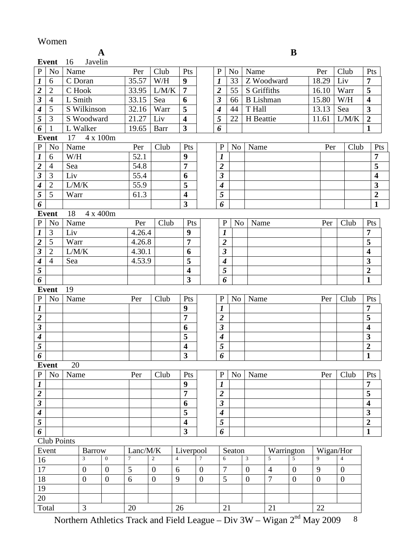### Women

|                             | B<br>A         |                    |                  |               |                  |                              |                  |                             |                |                  |                                  |                                      |                  |                             |                         |
|-----------------------------|----------------|--------------------|------------------|---------------|------------------|------------------------------|------------------|-----------------------------|----------------|------------------|----------------------------------|--------------------------------------|------------------|-----------------------------|-------------------------|
|                             | <b>Event</b>   | Javelin<br>16      |                  |               |                  |                              |                  |                             |                |                  |                                  |                                      |                  |                             |                         |
| ${\bf P}$                   | N <sub>o</sub> | Name               |                  | Per           | Club             | Pts                          |                  | $\mathbf{P}$                | N <sub>o</sub> | Name             |                                  |                                      | Per              | Club                        | Pts                     |
| $\boldsymbol{l}$            | 6              | C Doran            |                  | 35.57         | W/H              | $\boldsymbol{9}$             |                  | $\boldsymbol{l}$            | 33             |                  | Z Woodward                       |                                      | 18.29            | Liv                         | $\overline{7}$          |
| $\overline{2}$              | $\overline{2}$ | C Hook             |                  | 33.95         | L/M/K            | $\overline{7}$               |                  | $\overline{2}$              | 55             | S Griffiths      |                                  |                                      | 16.10            | Warr                        | 5                       |
| $\overline{\mathbf{3}}$     | $\overline{4}$ | L Smith            |                  | 33.15         | Sea              | 6                            |                  | $\overline{\mathbf{3}}$     | 66             | <b>B</b> Lishman |                                  |                                      | 15.80            | W/H                         | $\overline{\mathbf{4}}$ |
| $\boldsymbol{4}$            | 5              | S Wilkinson        |                  | 32.16         | Warr             | 5                            |                  | $\overline{\boldsymbol{4}}$ | 44             | T Hall           |                                  |                                      | 13.13            | Sea                         | $\overline{\mathbf{3}}$ |
| $\overline{5}$              | 3              | S Woodward         |                  | 21.27         | Liv              | $\overline{\mathbf{4}}$      |                  | 5                           | 22             | H Beattie        |                                  |                                      | 11.61            | L/M/K                       | $\overline{2}$          |
| 6                           | $\mathbf{1}$   | L Walker           |                  | 19.65         | Barr             | $\mathbf{3}$                 |                  | 6                           |                |                  |                                  |                                      |                  |                             | $\mathbf{1}$            |
|                             | <b>Event</b>   | 17 4 x 100m        |                  |               |                  |                              |                  |                             |                |                  |                                  |                                      |                  |                             |                         |
| ${\bf P}$                   | N <sub>o</sub> | Name               |                  | Per           | Club             | Pts                          |                  | $\mathbf{P}$                | N <sub>o</sub> | Name             |                                  |                                      | Per              | Club                        | Pts                     |
| $\boldsymbol{l}$            | 6              | W/H                |                  | 52.1          |                  | 9                            |                  | 1                           |                |                  |                                  |                                      |                  |                             | $\overline{7}$          |
| $\overline{2}$              | $\overline{4}$ | Sea                |                  | 54.8          |                  | $\overline{7}$               |                  | $\overline{2}$              |                |                  |                                  |                                      |                  |                             | 5                       |
| $\overline{\mathbf{3}}$     | 3              | Liv                |                  | 55.4          |                  | 6                            |                  | $\boldsymbol{\beta}$        |                |                  |                                  |                                      |                  |                             | $\overline{\mathbf{4}}$ |
| $\overline{\boldsymbol{4}}$ | $\overline{2}$ | L/M/K              |                  | 55.9          |                  | 5                            |                  | $\boldsymbol{4}$            |                |                  |                                  |                                      |                  |                             | $\overline{\mathbf{3}}$ |
| $\overline{5}$              | 5              | Warr               |                  | 61.3          |                  | $\overline{\mathbf{4}}$      |                  | 5                           |                |                  |                                  |                                      |                  |                             | $\overline{2}$          |
| 6                           |                |                    |                  |               |                  | $\overline{\mathbf{3}}$      |                  | 6                           |                |                  |                                  |                                      |                  |                             | $\mathbf{1}$            |
|                             | <b>Event</b>   | 18<br>4 x 400m     |                  |               |                  |                              |                  |                             |                |                  |                                  |                                      |                  |                             |                         |
| ${\bf P}$                   | N <sub>0</sub> | Name               |                  | Per           | Club             | Pts                          |                  | $\mathbf{P}$                | N <sub>o</sub> | Name             |                                  |                                      | Per              | Club                        | Pts                     |
| $\boldsymbol{l}$            | 3              | Liv                |                  | 4.26.4        |                  | 9                            |                  | $\boldsymbol{l}$            |                |                  |                                  |                                      |                  |                             | $\overline{7}$          |
| $\overline{2}$              | 5              | Warr               |                  | 4.26.8        |                  | $\overline{7}$               |                  | $\overline{2}$              |                |                  |                                  |                                      |                  |                             | 5                       |
| $\overline{\mathbf{3}}$     | $\overline{2}$ | L/M/K              |                  | 4.30.1        |                  | 6                            |                  | $\boldsymbol{\beta}$        |                |                  |                                  |                                      |                  |                             | $\overline{\mathbf{4}}$ |
| $\overline{\boldsymbol{4}}$ | $\overline{4}$ | Sea                |                  | 4.53.9        |                  | 5                            |                  | $\overline{\boldsymbol{4}}$ |                |                  |                                  |                                      |                  |                             | 3                       |
| $\overline{5}$              |                |                    |                  |               |                  | $\overline{\mathbf{4}}$      |                  | 5                           |                |                  |                                  |                                      |                  |                             | $\boldsymbol{2}$        |
| $\boldsymbol{6}$            |                |                    |                  |               |                  | $\overline{\mathbf{3}}$      |                  | 6                           |                |                  |                                  |                                      |                  |                             | $\mathbf{1}$            |
|                             | <b>Event</b>   | 19                 |                  |               |                  |                              |                  |                             |                |                  |                                  |                                      |                  |                             |                         |
| $\, {\bf P}$                | N <sub>0</sub> | Name               |                  | Per           | Club             | Pts                          |                  | $\mathbf{P}$                | N <sub>o</sub> | Name             |                                  |                                      | Per              | Club                        | Pts                     |
| $\boldsymbol{l}$            |                |                    |                  |               |                  | 9                            |                  | 1                           |                |                  |                                  |                                      |                  |                             | 7                       |
| $\overline{2}$              |                |                    |                  |               |                  | $\overline{7}$               |                  | $\overline{2}$              |                |                  |                                  |                                      |                  |                             | 5                       |
| $\overline{\mathbf{3}}$     |                |                    |                  |               |                  | 6                            |                  | $\mathfrak{z}$              |                |                  |                                  |                                      |                  |                             | $\overline{\mathbf{4}}$ |
| $\boldsymbol{4}$            |                |                    |                  |               |                  | 5                            |                  | $\boldsymbol{4}$            |                |                  |                                  |                                      |                  |                             | 3                       |
| $\overline{5}$              |                |                    |                  |               |                  | $\overline{\bf{4}}$          |                  | $\overline{5}$              |                |                  |                                  |                                      |                  |                             | $\overline{2}$          |
| 6                           |                |                    |                  |               |                  | $\overline{\mathbf{3}}$      |                  | 6                           |                |                  |                                  |                                      |                  |                             | $\mathbf{1}$            |
|                             | <b>Event</b>   | 20                 |                  |               |                  |                              |                  |                             |                |                  |                                  |                                      |                  |                             |                         |
| ${\bf P}$                   | N <sub>o</sub> | Name               |                  | Per           | Club             | Pts                          |                  | $\mathbf P$                 | N <sub>o</sub> | Name             |                                  |                                      | Per              | Club                        | Pts                     |
| $\boldsymbol{l}$            |                |                    |                  |               |                  | $\boldsymbol{9}$             |                  | $\boldsymbol{l}$            |                |                  |                                  |                                      |                  |                             | 7                       |
| $\overline{2}$              |                |                    |                  |               |                  | $\overline{7}$               |                  | $\boldsymbol{2}$            |                |                  |                                  |                                      |                  |                             | 5                       |
| $\overline{\mathbf{3}}$     |                |                    |                  |               |                  | 6                            |                  | $\overline{\mathbf{3}}$     |                |                  |                                  |                                      |                  |                             | $\overline{\mathbf{4}}$ |
| $\overline{\boldsymbol{4}}$ |                |                    |                  |               |                  | 5<br>$\overline{\mathbf{4}}$ |                  | $\boldsymbol{4}$            |                |                  |                                  |                                      |                  |                             | 3                       |
| $\overline{5}$              |                |                    |                  |               |                  |                              |                  | 5                           |                |                  |                                  |                                      |                  |                             | $\overline{2}$          |
| 6                           |                |                    |                  |               |                  | $\overline{\mathbf{3}}$      |                  | 6                           |                |                  |                                  |                                      |                  |                             | $\mathbf{1}$            |
|                             | Club Points    |                    |                  |               |                  |                              |                  |                             |                |                  | Warrington                       |                                      |                  |                             |                         |
|                             | Event          | <b>Barrow</b><br>3 | $\overline{0}$   | Lanc/M/K<br>7 | $\overline{c}$   | Liverpool<br>$\overline{4}$  | $\overline{7}$   | 6                           | Seaton         | $\overline{3}$   | 5                                | $\overline{5}$                       | 9                | Wigan/Hor<br>$\overline{4}$ |                         |
| 16                          |                |                    |                  |               |                  |                              |                  | 7                           |                | $\overline{0}$   |                                  |                                      |                  |                             |                         |
| 17                          |                | $\overline{0}$     | $\boldsymbol{0}$ | 5<br>6        | $\overline{0}$   | 6                            | $\overline{0}$   |                             |                | $\overline{0}$   | $\overline{4}$<br>$\overline{7}$ | $\boldsymbol{0}$<br>$\boldsymbol{0}$ | 9                | $\boldsymbol{0}$            |                         |
| 18<br>19                    |                | $\boldsymbol{0}$   | $\boldsymbol{0}$ |               | $\boldsymbol{0}$ | 9                            | $\boldsymbol{0}$ | 5                           |                |                  |                                  |                                      | $\boldsymbol{0}$ | $\overline{0}$              |                         |
| 20                          |                |                    |                  |               |                  |                              |                  |                             |                |                  |                                  |                                      |                  |                             |                         |
| Total                       |                | 3                  |                  | 20            |                  | 26                           |                  | 21                          |                |                  | 21                               |                                      | 22               |                             |                         |
|                             |                |                    |                  |               |                  |                              |                  |                             |                |                  |                                  |                                      |                  |                             |                         |